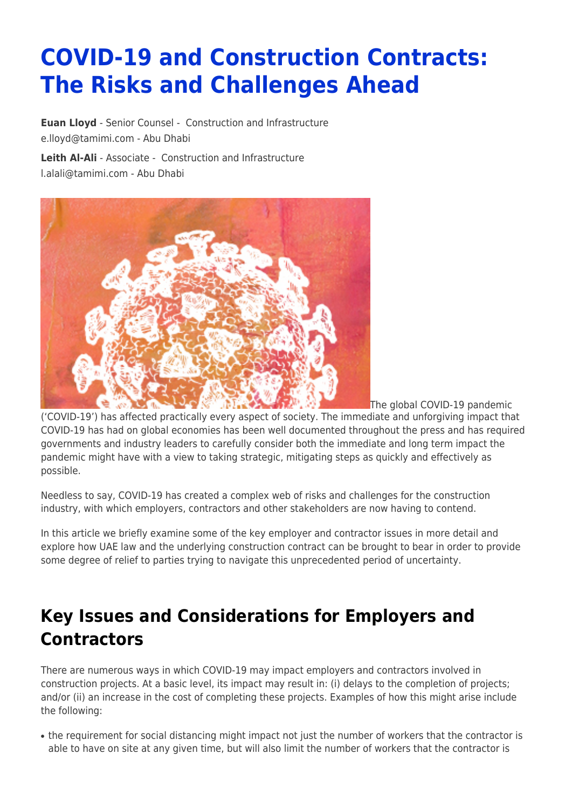# **COVID-19 and Construction Contracts: The Risks and Challenges Ahead**

**[Euan Lloyd](https://www.tamimi.com/find-a-lawyer/euan-lloyd/)** - Senior Counsel - [Construction and Infrastructure](https://www.tamimi.com/client-services/practices/construction-infrastructure/) [e.lloyd@tamimi.com](mailto:e.lloyd@tamimi.com) - [Abu Dhabi](https://www.tamimi.com/locations/uae/)

**[Leith Al-Ali](https://www.tamimi.com/find-a-lawyer/leith-al-ali/)** - Associate - [Construction and Infrastructure](https://www.tamimi.com/client-services/practices/construction-infrastructure/) [l.alali@tamimi.com](mailto:l.alali@tamimi.com) - [Abu Dhabi](https://www.tamimi.com/locations/uae/)



The global COVID-19 pandemic ('COVID-19') has affected practically every aspect of society. The immediate and unforgiving impact that COVID-19 has had on global economies has been well documented throughout the press and has required governments and industry leaders to carefully consider both the immediate and long term impact the pandemic might have with a view to taking strategic, mitigating steps as quickly and effectively as possible.

Needless to say, COVID-19 has created a complex web of risks and challenges for the construction industry, with which employers, contractors and other stakeholders are now having to contend.

In this article we briefly examine some of the key employer and contractor issues in more detail and explore how UAE law and the underlying construction contract can be brought to bear in order to provide some degree of relief to parties trying to navigate this unprecedented period of uncertainty.

### **Key Issues and Considerations for Employers and Contractors**

There are numerous ways in which COVID-19 may impact employers and contractors involved in construction projects. At a basic level, its impact may result in: (i) delays to the completion of projects; and/or (ii) an increase in the cost of completing these projects. Examples of how this might arise include the following:

• the requirement for social distancing might impact not just the number of workers that the contractor is able to have on site at any given time, but will also limit the number of workers that the contractor is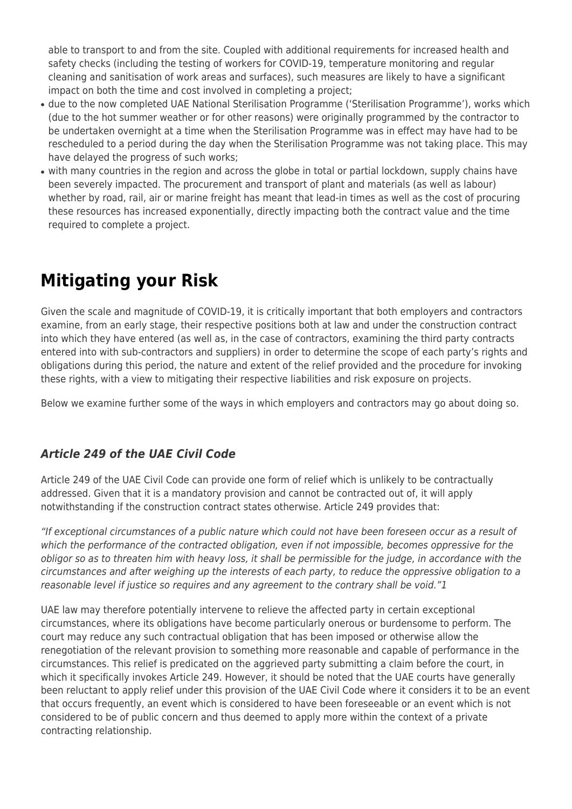able to transport to and from the site. Coupled with additional requirements for increased health and safety checks (including the testing of workers for COVID-19, temperature monitoring and regular cleaning and sanitisation of work areas and surfaces), such measures are likely to have a significant impact on both the time and cost involved in completing a project;

- due to the now completed UAE National Sterilisation Programme ('Sterilisation Programme'), works which (due to the hot summer weather or for other reasons) were originally programmed by the contractor to be undertaken overnight at a time when the Sterilisation Programme was in effect may have had to be rescheduled to a period during the day when the Sterilisation Programme was not taking place. This may have delayed the progress of such works;
- with many countries in the region and across the globe in total or partial lockdown, supply chains have been severely impacted. The procurement and transport of plant and materials (as well as labour) whether by road, rail, air or marine freight has meant that lead-in times as well as the cost of procuring these resources has increased exponentially, directly impacting both the contract value and the time required to complete a project.

### **Mitigating your Risk**

Given the scale and magnitude of COVID-19, it is critically important that both employers and contractors examine, from an early stage, their respective positions both at law and under the construction contract into which they have entered (as well as, in the case of contractors, examining the third party contracts entered into with sub-contractors and suppliers) in order to determine the scope of each party's rights and obligations during this period, the nature and extent of the relief provided and the procedure for invoking these rights, with a view to mitigating their respective liabilities and risk exposure on projects.

Below we examine further some of the ways in which employers and contractors may go about doing so.

### *Article 249 of the UAE Civil Code*

Article 249 of the UAE Civil Code can provide one form of relief which is unlikely to be contractually addressed. Given that it is a mandatory provision and cannot be contracted out of, it will apply notwithstanding if the construction contract states otherwise. Article 249 provides that:

"If exceptional circumstances of a public nature which could not have been foreseen occur as a result of which the performance of the contracted obligation, even if not impossible, becomes oppressive for the obligor so as to threaten him with heavy loss, it shall be permissible for the judge, in accordance with the circumstances and after weighing up the interests of each party, to reduce the oppressive obligation to a reasonable level if justice so requires and any agreement to the contrary shall be void."1

UAE law may therefore potentially intervene to relieve the affected party in certain exceptional circumstances, where its obligations have become particularly onerous or burdensome to perform. The court may reduce any such contractual obligation that has been imposed or otherwise allow the renegotiation of the relevant provision to something more reasonable and capable of performance in the circumstances. This relief is predicated on the aggrieved party submitting a claim before the court, in which it specifically invokes Article 249. However, it should be noted that the UAE courts have generally been reluctant to apply relief under this provision of the UAE Civil Code where it considers it to be an event that occurs frequently, an event which is considered to have been foreseeable or an event which is not considered to be of public concern and thus deemed to apply more within the context of a private contracting relationship.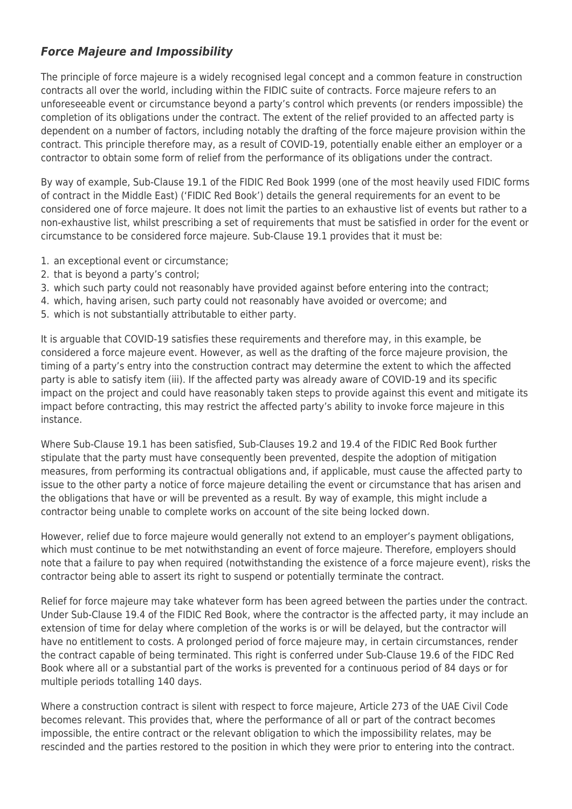#### *Force Majeure and Impossibility*

The principle of force majeure is a widely recognised legal concept and a common feature in construction contracts all over the world, including within the FIDIC suite of contracts. Force majeure refers to an unforeseeable event or circumstance beyond a party's control which prevents (or renders impossible) the completion of its obligations under the contract. The extent of the relief provided to an affected party is dependent on a number of factors, including notably the drafting of the force majeure provision within the contract. This principle therefore may, as a result of COVID-19, potentially enable either an employer or a contractor to obtain some form of relief from the performance of its obligations under the contract.

By way of example, Sub-Clause 19.1 of the FIDIC Red Book 1999 (one of the most heavily used FIDIC forms of contract in the Middle East) ('FIDIC Red Book') details the general requirements for an event to be considered one of force majeure. It does not limit the parties to an exhaustive list of events but rather to a non-exhaustive list, whilst prescribing a set of requirements that must be satisfied in order for the event or circumstance to be considered force majeure. Sub-Clause 19.1 provides that it must be:

- 1. an exceptional event or circumstance;
- 2. that is beyond a party's control;
- 3. which such party could not reasonably have provided against before entering into the contract;
- 4. which, having arisen, such party could not reasonably have avoided or overcome; and
- 5. which is not substantially attributable to either party.

It is arguable that COVID-19 satisfies these requirements and therefore may, in this example, be considered a force majeure event. However, as well as the drafting of the force majeure provision, the timing of a party's entry into the construction contract may determine the extent to which the affected party is able to satisfy item (iii). If the affected party was already aware of COVID-19 and its specific impact on the project and could have reasonably taken steps to provide against this event and mitigate its impact before contracting, this may restrict the affected party's ability to invoke force majeure in this instance.

Where Sub-Clause 19.1 has been satisfied, Sub-Clauses 19.2 and 19.4 of the FIDIC Red Book further stipulate that the party must have consequently been prevented, despite the adoption of mitigation measures, from performing its contractual obligations and, if applicable, must cause the affected party to issue to the other party a notice of force majeure detailing the event or circumstance that has arisen and the obligations that have or will be prevented as a result. By way of example, this might include a contractor being unable to complete works on account of the site being locked down.

However, relief due to force majeure would generally not extend to an employer's payment obligations, which must continue to be met notwithstanding an event of force majeure. Therefore, employers should note that a failure to pay when required (notwithstanding the existence of a force majeure event), risks the contractor being able to assert its right to suspend or potentially terminate the contract.

Relief for force majeure may take whatever form has been agreed between the parties under the contract. Under Sub-Clause 19.4 of the FIDIC Red Book, where the contractor is the affected party, it may include an extension of time for delay where completion of the works is or will be delayed, but the contractor will have no entitlement to costs. A prolonged period of force majeure may, in certain circumstances, render the contract capable of being terminated. This right is conferred under Sub-Clause 19.6 of the FIDC Red Book where all or a substantial part of the works is prevented for a continuous period of 84 days or for multiple periods totalling 140 days.

Where a construction contract is silent with respect to force majeure, Article 273 of the UAE Civil Code becomes relevant. This provides that, where the performance of all or part of the contract becomes impossible, the entire contract or the relevant obligation to which the impossibility relates, may be rescinded and the parties restored to the position in which they were prior to entering into the contract.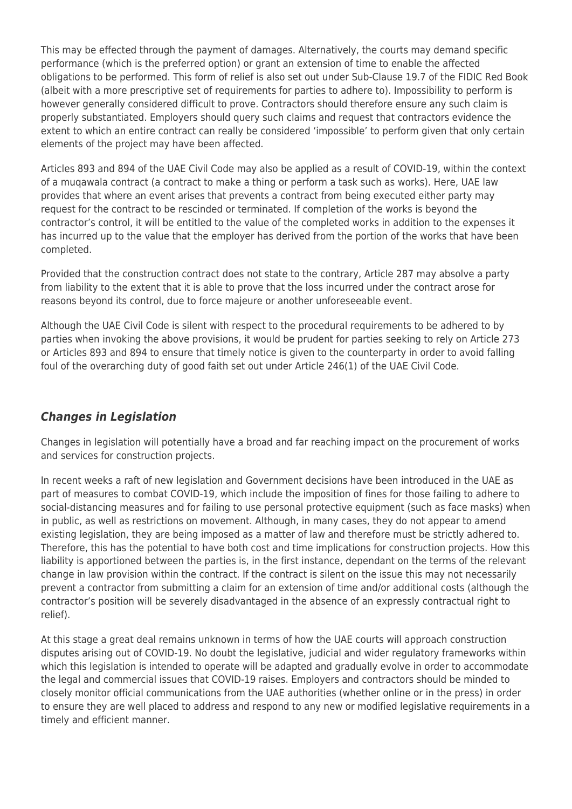This may be effected through the payment of damages. Alternatively, the courts may demand specific performance (which is the preferred option) or grant an extension of time to enable the affected obligations to be performed. This form of relief is also set out under Sub-Clause 19.7 of the FIDIC Red Book (albeit with a more prescriptive set of requirements for parties to adhere to). Impossibility to perform is however generally considered difficult to prove. Contractors should therefore ensure any such claim is properly substantiated. Employers should query such claims and request that contractors evidence the extent to which an entire contract can really be considered 'impossible' to perform given that only certain elements of the project may have been affected.

Articles 893 and 894 of the UAE Civil Code may also be applied as a result of COVID-19, within the context of a muqawala contract (a contract to make a thing or perform a task such as works). Here, UAE law provides that where an event arises that prevents a contract from being executed either party may request for the contract to be rescinded or terminated. If completion of the works is beyond the contractor's control, it will be entitled to the value of the completed works in addition to the expenses it has incurred up to the value that the employer has derived from the portion of the works that have been completed.

Provided that the construction contract does not state to the contrary, Article 287 may absolve a party from liability to the extent that it is able to prove that the loss incurred under the contract arose for reasons beyond its control, due to force majeure or another unforeseeable event.

Although the UAE Civil Code is silent with respect to the procedural requirements to be adhered to by parties when invoking the above provisions, it would be prudent for parties seeking to rely on Article 273 or Articles 893 and 894 to ensure that timely notice is given to the counterparty in order to avoid falling foul of the overarching duty of good faith set out under Article 246(1) of the UAE Civil Code.

#### *Changes in Legislation*

Changes in legislation will potentially have a broad and far reaching impact on the procurement of works and services for construction projects.

In recent weeks a raft of new legislation and Government decisions have been introduced in the UAE as part of measures to combat COVID-19, which include the imposition of fines for those failing to adhere to social-distancing measures and for failing to use personal protective equipment (such as face masks) when in public, as well as restrictions on movement. Although, in many cases, they do not appear to amend existing legislation, they are being imposed as a matter of law and therefore must be strictly adhered to. Therefore, this has the potential to have both cost and time implications for construction projects. How this liability is apportioned between the parties is, in the first instance, dependant on the terms of the relevant change in law provision within the contract. If the contract is silent on the issue this may not necessarily prevent a contractor from submitting a claim for an extension of time and/or additional costs (although the contractor's position will be severely disadvantaged in the absence of an expressly contractual right to relief).

At this stage a great deal remains unknown in terms of how the UAE courts will approach construction disputes arising out of COVID-19. No doubt the legislative, judicial and wider regulatory frameworks within which this legislation is intended to operate will be adapted and gradually evolve in order to accommodate the legal and commercial issues that COVID-19 raises. Employers and contractors should be minded to closely monitor official communications from the UAE authorities (whether online or in the press) in order to ensure they are well placed to address and respond to any new or modified legislative requirements in a timely and efficient manner.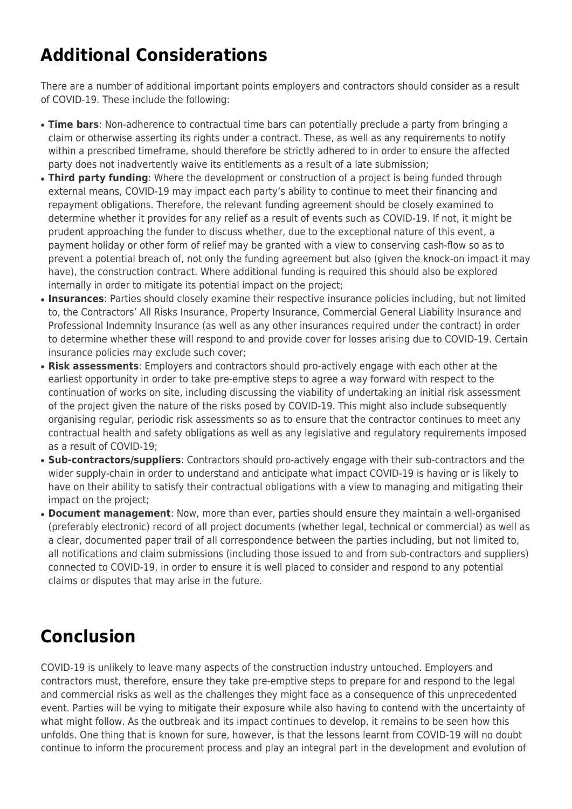## **Additional Considerations**

There are a number of additional important points employers and contractors should consider as a result of COVID-19. These include the following:

- **Time bars**: Non-adherence to contractual time bars can potentially preclude a party from bringing a claim or otherwise asserting its rights under a contract. These, as well as any requirements to notify within a prescribed timeframe, should therefore be strictly adhered to in order to ensure the affected party does not inadvertently waive its entitlements as a result of a late submission;
- **Third party funding**: Where the development or construction of a project is being funded through external means, COVID-19 may impact each party's ability to continue to meet their financing and repayment obligations. Therefore, the relevant funding agreement should be closely examined to determine whether it provides for any relief as a result of events such as COVID-19. If not, it might be prudent approaching the funder to discuss whether, due to the exceptional nature of this event, a payment holiday or other form of relief may be granted with a view to conserving cash-flow so as to prevent a potential breach of, not only the funding agreement but also (given the knock-on impact it may have), the construction contract. Where additional funding is required this should also be explored internally in order to mitigate its potential impact on the project;
- **Insurances**: Parties should closely examine their respective insurance policies including, but not limited to, the Contractors' All Risks Insurance, Property Insurance, Commercial General Liability Insurance and Professional Indemnity Insurance (as well as any other insurances required under the contract) in order to determine whether these will respond to and provide cover for losses arising due to COVID-19. Certain insurance policies may exclude such cover;
- **Risk assessments**: Employers and contractors should pro-actively engage with each other at the earliest opportunity in order to take pre-emptive steps to agree a way forward with respect to the continuation of works on site, including discussing the viability of undertaking an initial risk assessment of the project given the nature of the risks posed by COVID-19. This might also include subsequently organising regular, periodic risk assessments so as to ensure that the contractor continues to meet any contractual health and safety obligations as well as any legislative and regulatory requirements imposed as a result of COVID-19;
- **Sub-contractors/suppliers**: Contractors should pro-actively engage with their sub-contractors and the wider supply-chain in order to understand and anticipate what impact COVID-19 is having or is likely to have on their ability to satisfy their contractual obligations with a view to managing and mitigating their impact on the project;
- **Document management**: Now, more than ever, parties should ensure they maintain a well-organised (preferably electronic) record of all project documents (whether legal, technical or commercial) as well as a clear, documented paper trail of all correspondence between the parties including, but not limited to, all notifications and claim submissions (including those issued to and from sub-contractors and suppliers) connected to COVID-19, in order to ensure it is well placed to consider and respond to any potential claims or disputes that may arise in the future.

## **Conclusion**

COVID-19 is unlikely to leave many aspects of the construction industry untouched. Employers and contractors must, therefore, ensure they take pre-emptive steps to prepare for and respond to the legal and commercial risks as well as the challenges they might face as a consequence of this unprecedented event. Parties will be vying to mitigate their exposure while also having to contend with the uncertainty of what might follow. As the outbreak and its impact continues to develop, it remains to be seen how this unfolds. One thing that is known for sure, however, is that the lessons learnt from COVID-19 will no doubt continue to inform the procurement process and play an integral part in the development and evolution of